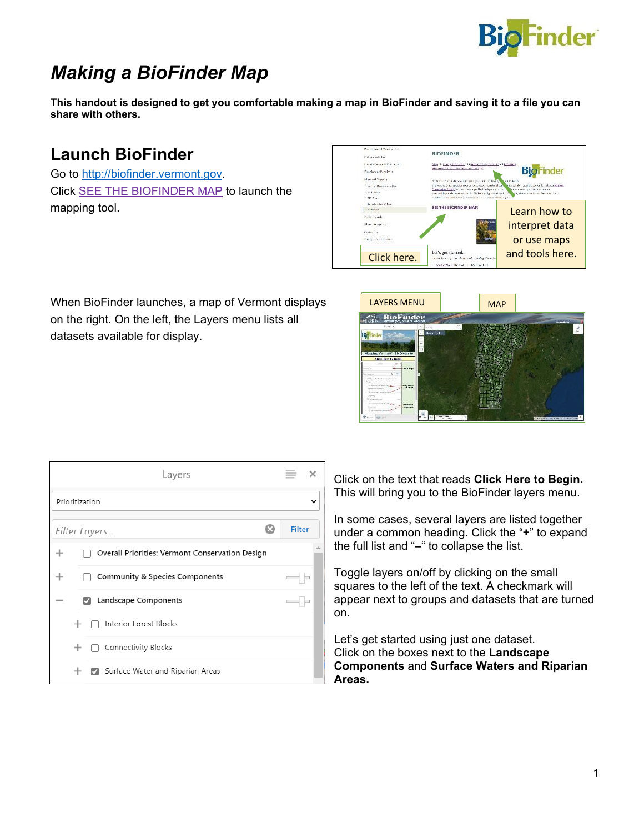

## *Making a BioFinder Map*

**This handout is designed to get you comfortable making a map in BioFinder and saving it to a file you can share with others.** 

## **Launch BioFinder**

Go to [http://biofinder.vermont.gov.](http://biofinder.vermont.gov/) Click SEE THE BIOFINDER MAP to launch the mapping tool.



When BioFinder launches, a map of Vermont displays on the right. On the left, the Layers menu lists all datasets available for display.



|                | Layers                                          |               |
|----------------|-------------------------------------------------|---------------|
| Prioritization |                                                 |               |
|                | Filter Layers                                   | <b>Filter</b> |
|                | Overall Priorities: Vermont Conservation Design |               |
|                | <b>Community &amp; Species Components</b>       |               |
|                | Landscape Components<br>М                       |               |
|                | Interior Forest Blocks                          |               |
|                | Connectivity Blocks                             |               |
|                | Surface Water and Riparian Areas                |               |

Click on the text that reads **Click Here to Begin.**  This will bring you to the BioFinder layers menu.

In some cases, several layers are listed together under a common heading. Click the "**+**" to expand the full list and "**–**" to collapse the list.

Toggle layers on/off by clicking on the small squares to the left of the text. A checkmark will appear next to groups and datasets that are turned on.

Let's get started using just one dataset. Click on the boxes next to the **Landscape Components** and **Surface Waters and Riparian Areas.**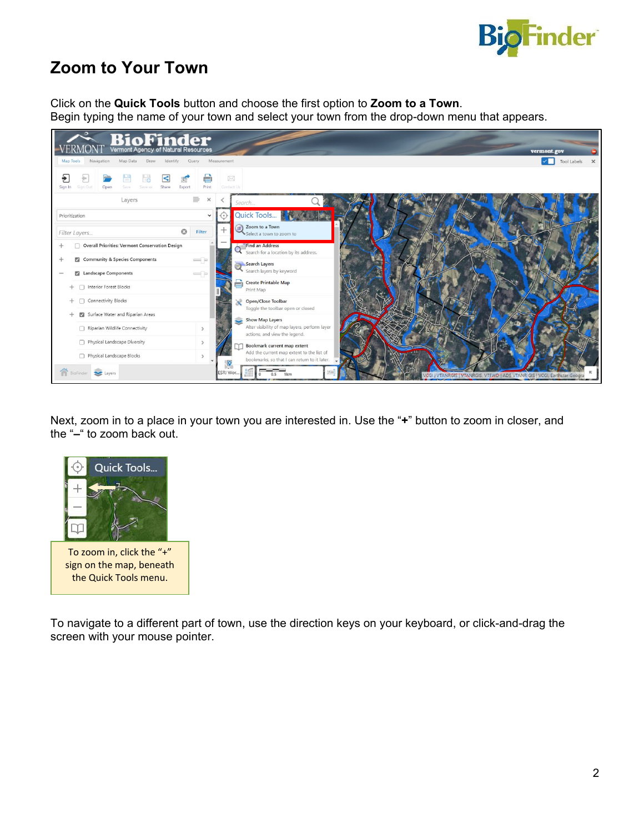

## **Zoom to Your Town**

Click on the **Quick Tools** button and choose the first option to **Zoom to a Town**. Begin typing the name of your town and select your town from the drop-down menu that appears.



Next, zoom in to a place in your town you are interested in. Use the "**+**" button to zoom in closer, and the "**–**" to zoom back out.



sign on the map, beneath the Quick Tools menu.

To navigate to a different part of town, use the direction keys on your keyboard, or click-and-drag the screen with your mouse pointer.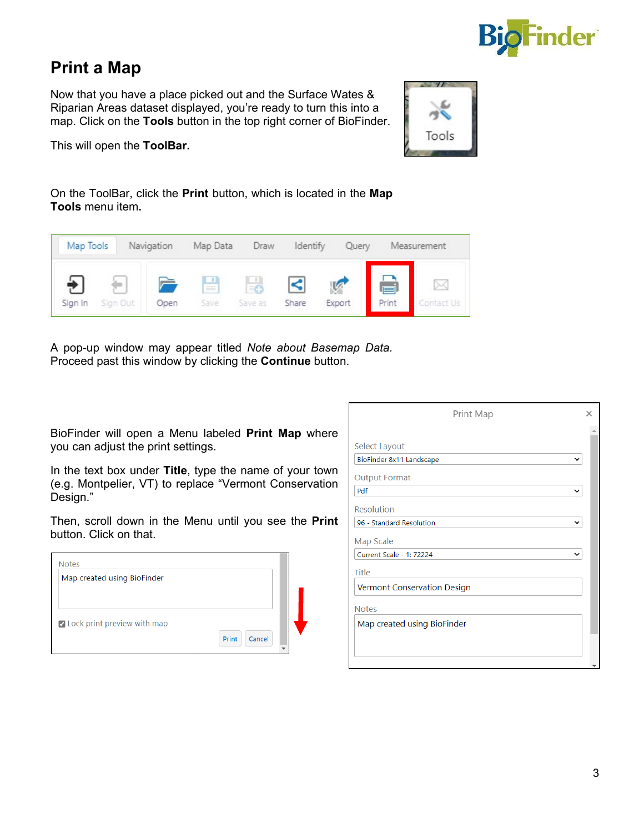

## **Print a Map**

Now that you have a place picked out and the Surface Wates & Riparian Areas dataset displayed, you're ready to turn this into a map. Click on the **Tools** button in the top right corner of BioFinder.



This will open the **ToolBar.**

On the ToolBar, click the **Print** button, which is located in the **Map Tools** menu item**.**



A pop-up window may appear titled *Note about Basemap Data.* Proceed past this window by clicking the **Continue** button.

BioFinder will open a Menu labeled **Print Map** where you can adjust the print settings.

In the text box under **Title**, type the name of your town (e.g. Montpelier, VT) to replace "Vermont Conservation Design."

Then, scroll down in the Menu until you see the **Print**  button. Click on that.

| Map created using BioFinder   |                 |
|-------------------------------|-----------------|
| O Lock print preview with map | Print<br>Cancel |

| Print Map                   |             | × |
|-----------------------------|-------------|---|
|                             |             |   |
| Select Layout               |             |   |
| BioFinder 8x11 Landscape    |             |   |
| <b>Output Format</b>        |             |   |
| Pdf                         | $\check{ }$ |   |
| Resolution                  |             |   |
| 96 - Standard Resolution    | $\check{ }$ |   |
| Map Scale                   |             |   |
| Current Scale - 1: 72224    | $\check{ }$ |   |
| <b>Title</b>                |             |   |
| Vermont Conservation Design |             |   |
| <b>Notes</b>                |             |   |
| Map created using BioFinder |             |   |
|                             |             |   |
|                             |             |   |